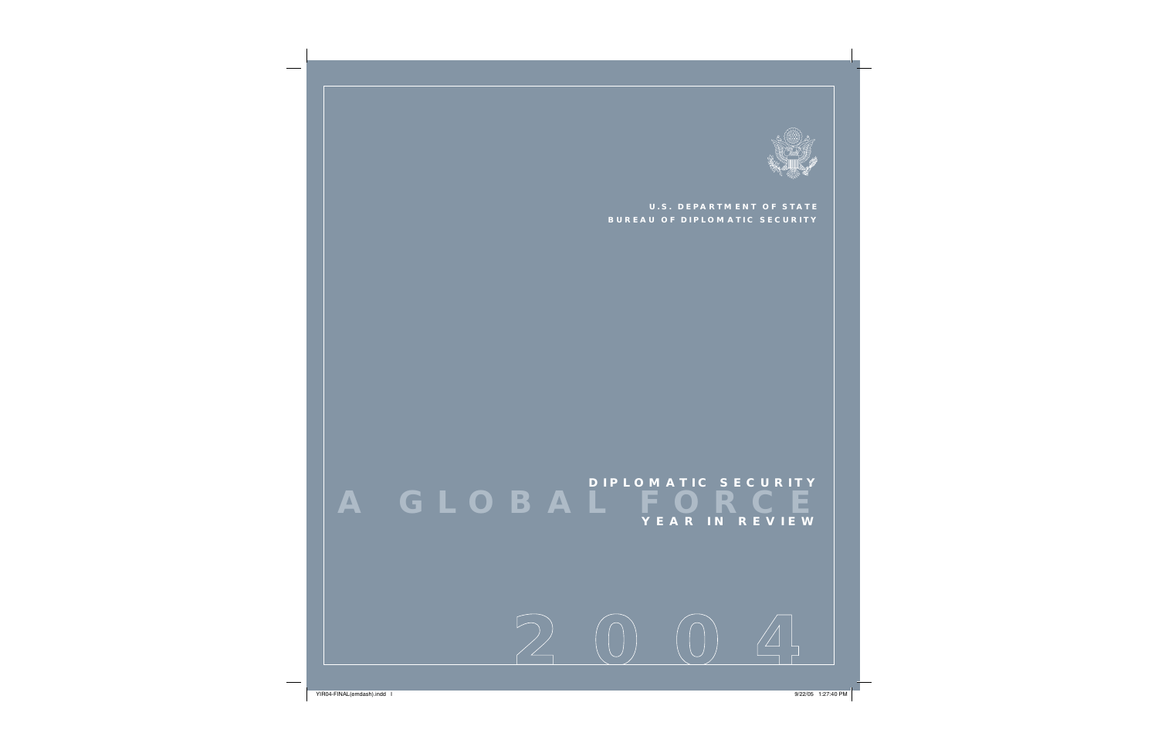

**U.S. DEPARTMENT OF STATEBUREAU OF DIPLOMATIC SECURITY**

**A GLOBAL FORCE YEAR IN R E V I E W DIPLOMATIC SECURITY**

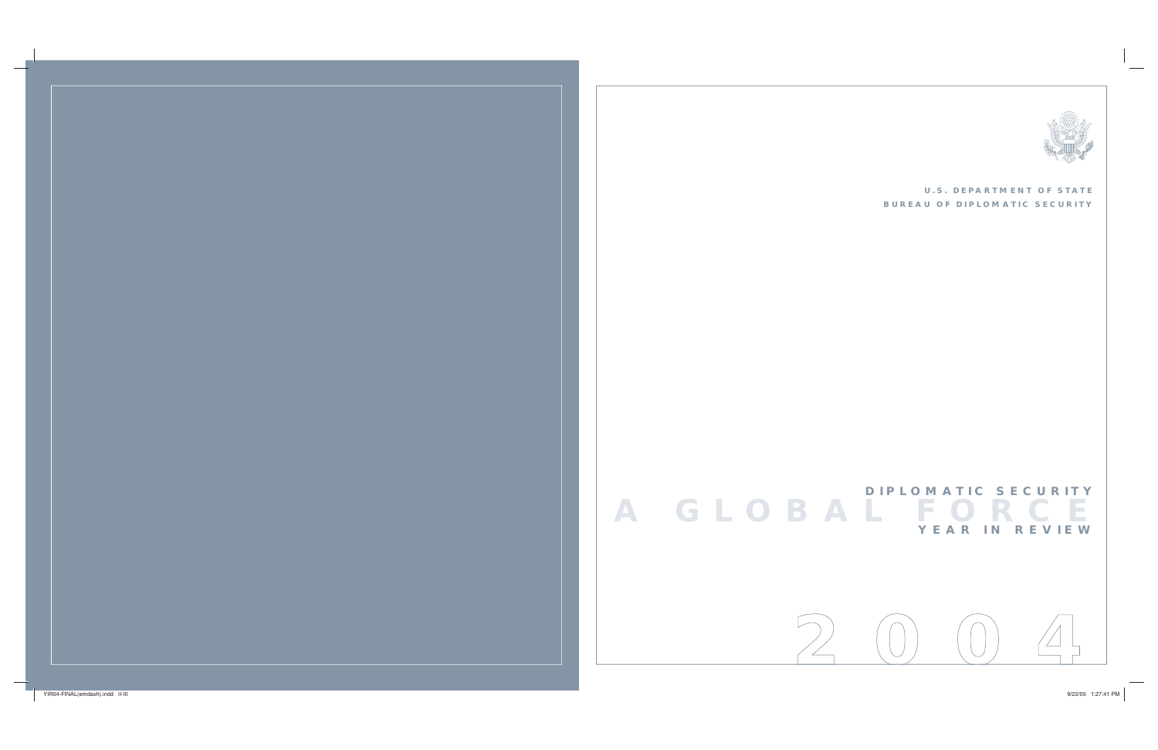### **U.S. DEPARTMENT OF STATE BUREAU OF DIPLOMATIC SECURITY**





# **A G L O BAL F O R C E Y E A R I N R E V I E W DIPLOMATIC SECURITY**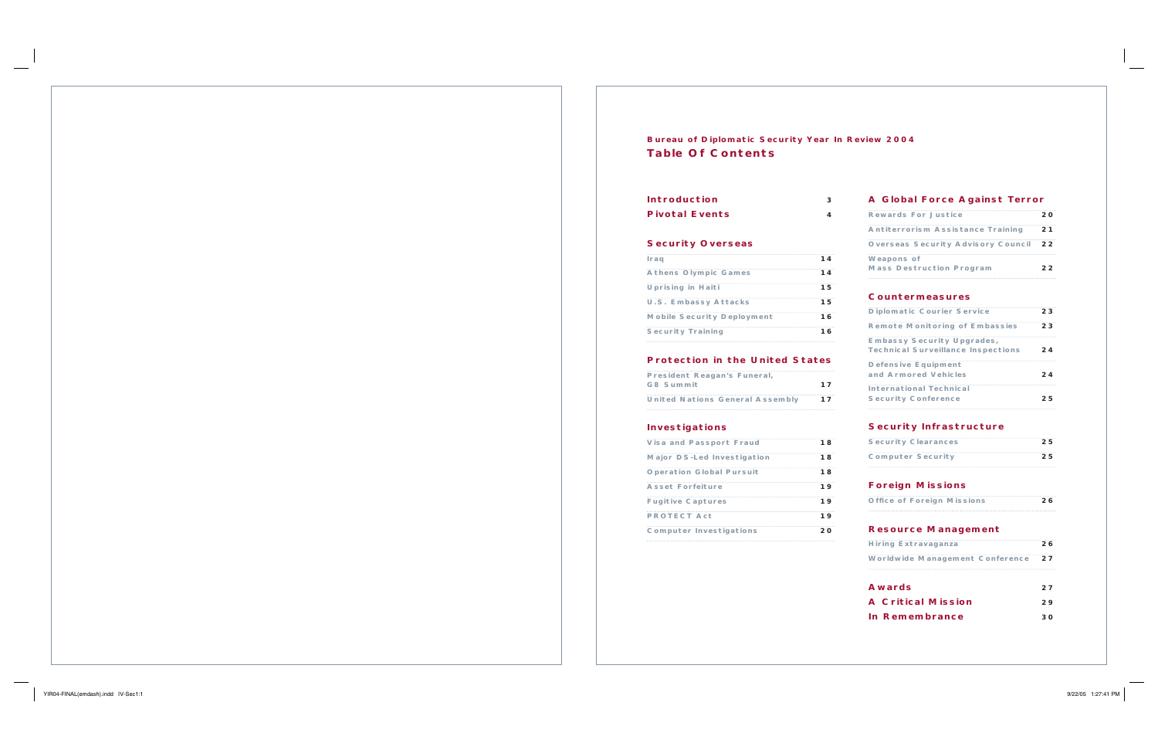| з   | A Global Force Against Terror                                                  |                                                                                                                                                   |
|-----|--------------------------------------------------------------------------------|---------------------------------------------------------------------------------------------------------------------------------------------------|
| 4   |                                                                                | 20                                                                                                                                                |
|     | <b>Antiterrorism Assistance Training</b>                                       | 21                                                                                                                                                |
|     | <b>Overseas Security Advisory Council</b>                                      | 22                                                                                                                                                |
| 14  | <b>Weapons of</b>                                                              |                                                                                                                                                   |
| 14  |                                                                                | 22                                                                                                                                                |
| 15. |                                                                                |                                                                                                                                                   |
| 15  |                                                                                |                                                                                                                                                   |
| 16  | <b>Diplomatic Courier Service</b>                                              | 23                                                                                                                                                |
| 16  | <b>Remote Monitoring of Embassies</b>                                          | 23                                                                                                                                                |
|     | <b>Embassy Security Upgrades,</b><br><b>Technical Surveillance Inspections</b> | 24                                                                                                                                                |
|     | <b>Defensive Equipment</b>                                                     | 24                                                                                                                                                |
| 17  |                                                                                |                                                                                                                                                   |
| 17  | <b>Security Conference</b>                                                     | 25                                                                                                                                                |
|     | <b>Security Infrastructure</b>                                                 |                                                                                                                                                   |
| 18. | <b>Security Clearances</b>                                                     | 25                                                                                                                                                |
| 18  | <b>Computer Security</b>                                                       | 25                                                                                                                                                |
| 18  |                                                                                |                                                                                                                                                   |
| 19  | <b>Foreign Missions</b>                                                        |                                                                                                                                                   |
| 19  | <b>Office of Foreign Missions</b>                                              | 26                                                                                                                                                |
| 19  |                                                                                |                                                                                                                                                   |
| 20  | <b>Resource Management</b>                                                     |                                                                                                                                                   |
|     | <b>Hiring Extravaganza</b>                                                     | 26                                                                                                                                                |
|     | <b>Protection in the United States</b>                                         | <b>Rewards For Justice</b><br><b>Mass Destruction Program</b><br><b>Countermeasures</b><br>and Armored Vehicles<br><b>International Technical</b> |

 $\sim$  ,  $\sim$  ,  $\sim$  ,  $\sim$  ,  $\sim$ Awa

A C **In R** 

| <b>Hiring Extravaganza</b>             | 26   |
|----------------------------------------|------|
| <b>Worldwide Management Conference</b> | - 27 |
|                                        |      |

| <i>r</i> ards           | 27 |
|-------------------------|----|
| <b>Critical Mission</b> | 29 |
| Remembrance             | 30 |

### **Bureau of Diplomatic Security Year In Review 2004 Table Of Contents**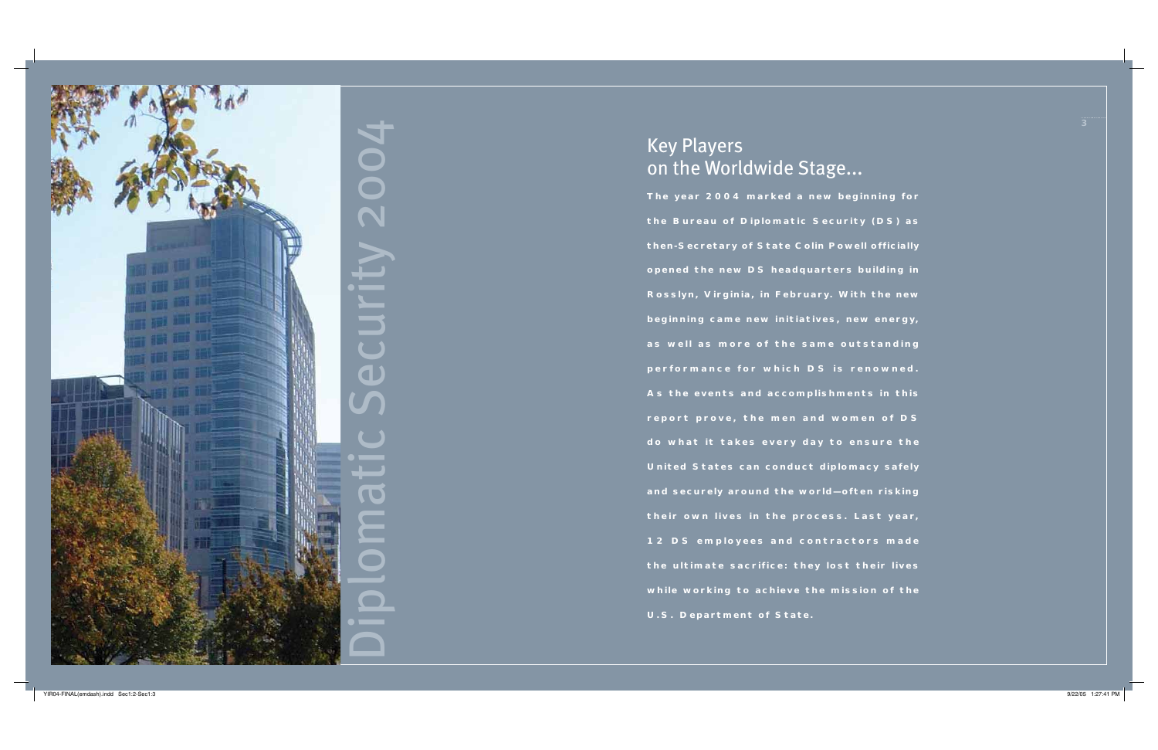# Key Players on the Worldwide Stage...

**The year 2004 marked a new beginning for the Bureau of Diplomatic Security (DS) as then-Secretary of State Colin Powell officially opened the new DS headquarters building in Rosslyn, Virginia, in February. With the new beginning came new initiatives, new energy,**  as well as more of the same outstanding performance for which DS is renowned. **As the events and accomplishments in this report prove, the men and women of DS do what it takes every day to ensure the United States can conduct diplomacy safely and securely around the world—often risking the ir own l ives in the process. Last year, 12 DS emp lo y <sup>e</sup> es and contractors mad <sup>e</sup> the ultimate sacrifice: they lost their lives while working to achieve the mission of the U.S. Department of State.**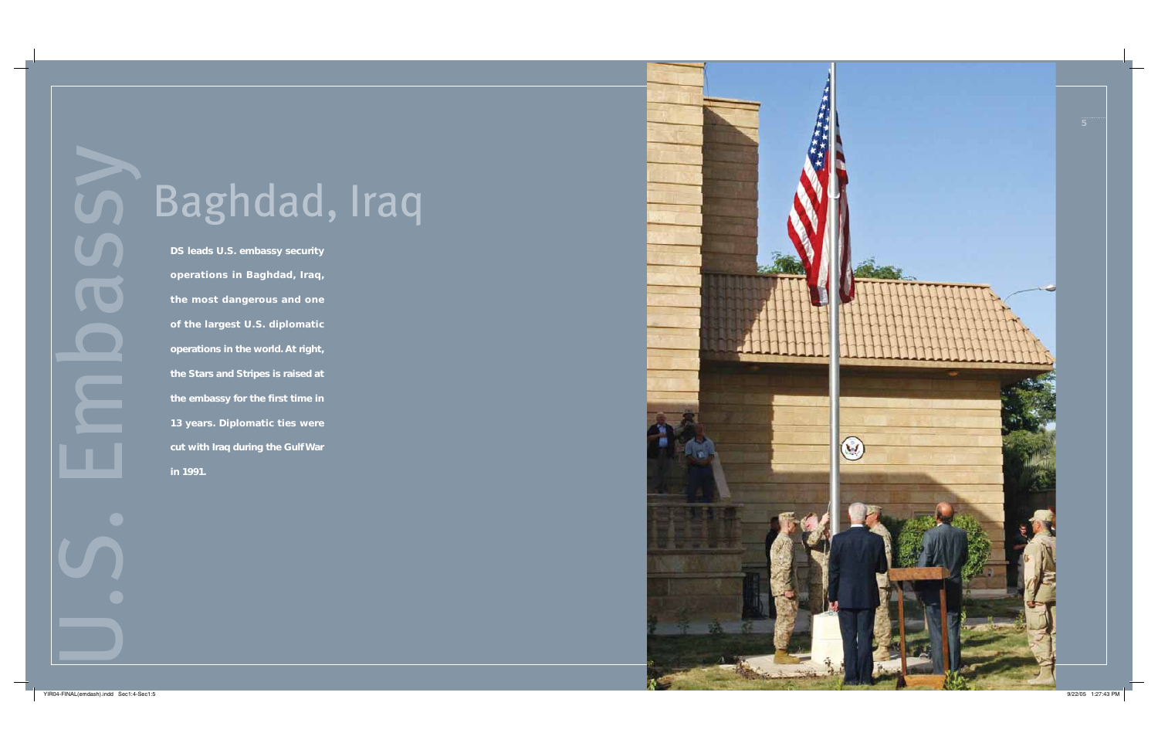Baghdad, Iraq<br>
Dis leads U.S. embassy security<br>
operations in Baghdad, Iraq,<br>
the most dangerous and one<br>
of the largest U.S. diplomatic<br>
operations in the world. At right,<br>
the Stars and Stripes is raised at<br>
the embassy

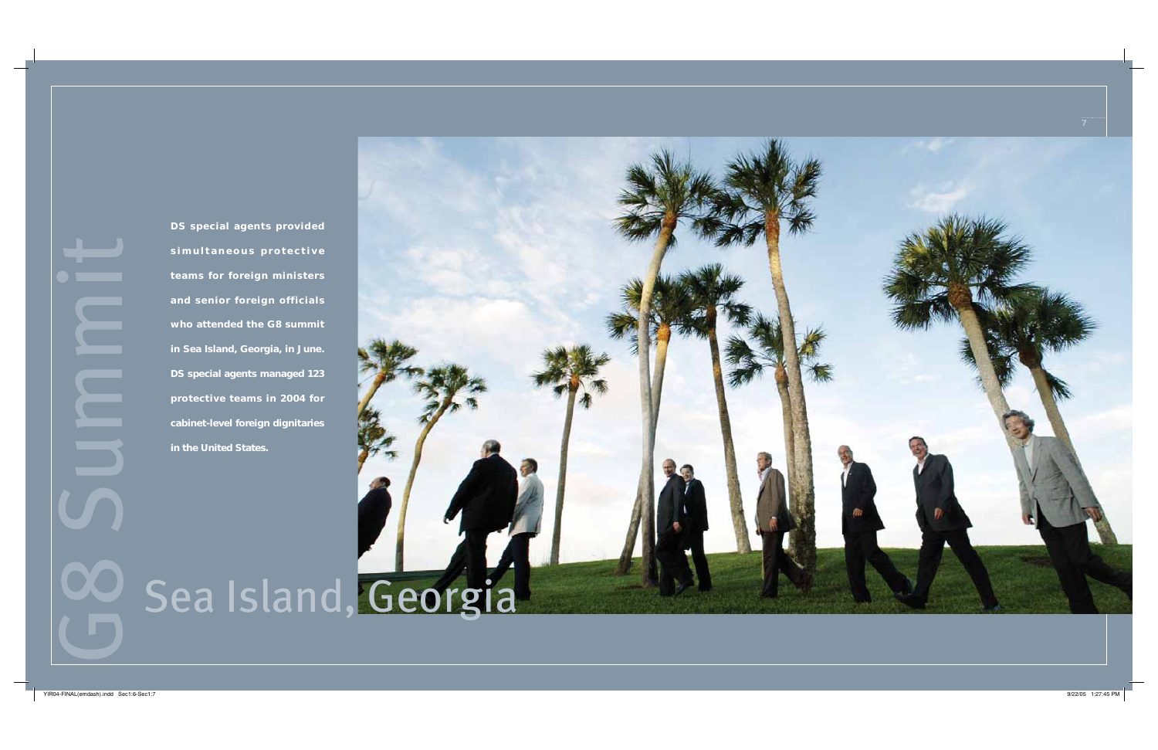

**DS special agents provided**  simultaneous protective **teams for foreign ministers and senior foreign officials who attended the G8 summit in Sea Island, Georgia, in June. DS special agents managed 123 protective teams in 2004 for cabinet-level foreign dignitaries in the United States.**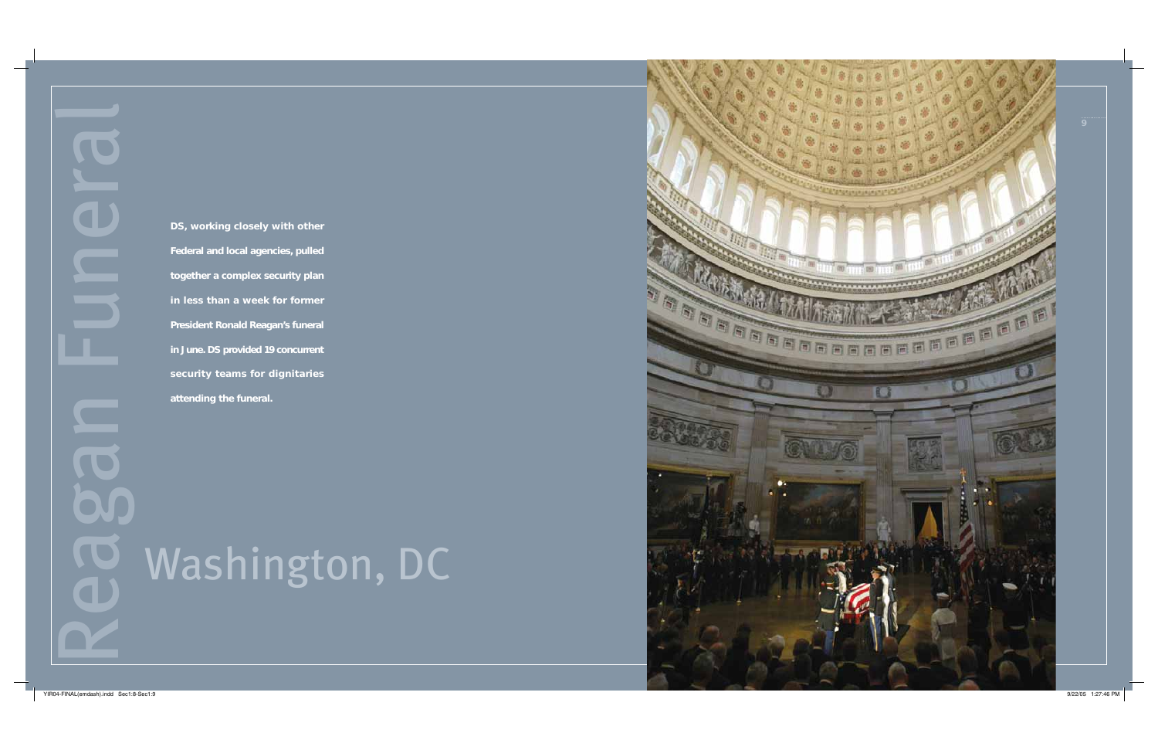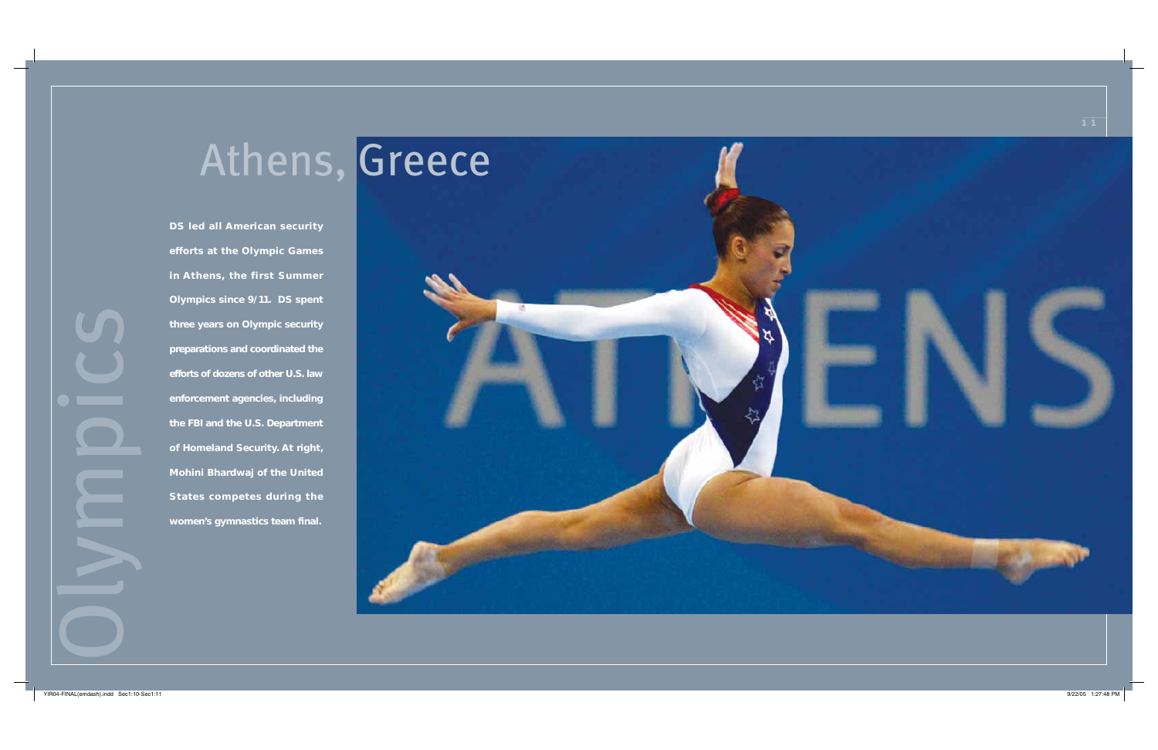# Athens, Greece

**DS led all American security efforts at the Olympic Games in Athens, the first Summer Olympics since 9/11. DS spent three years on Olympic security preparations and coordinated the efforts of dozens of other U.S. law enforcement agencies, including the FBI and the U.S. Department of Homeland Security. At right, Mohini Bhardwaj of the United States competes during the women's gymnastics team final.**

OLYMPICS

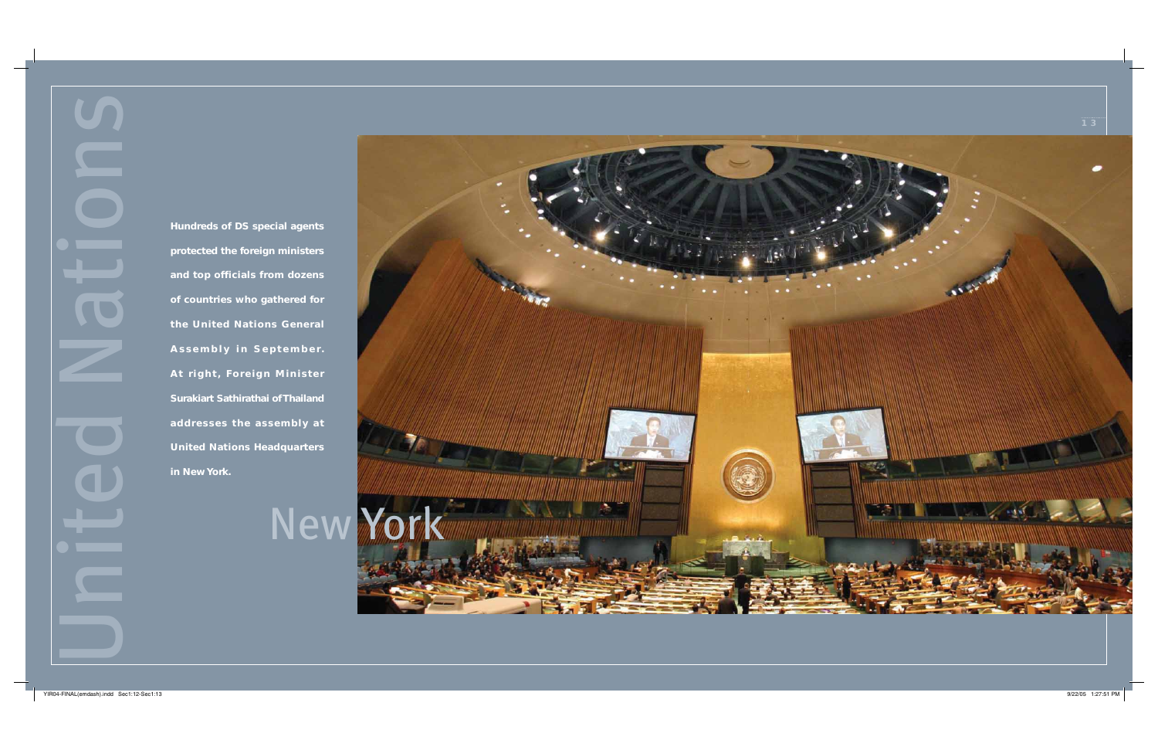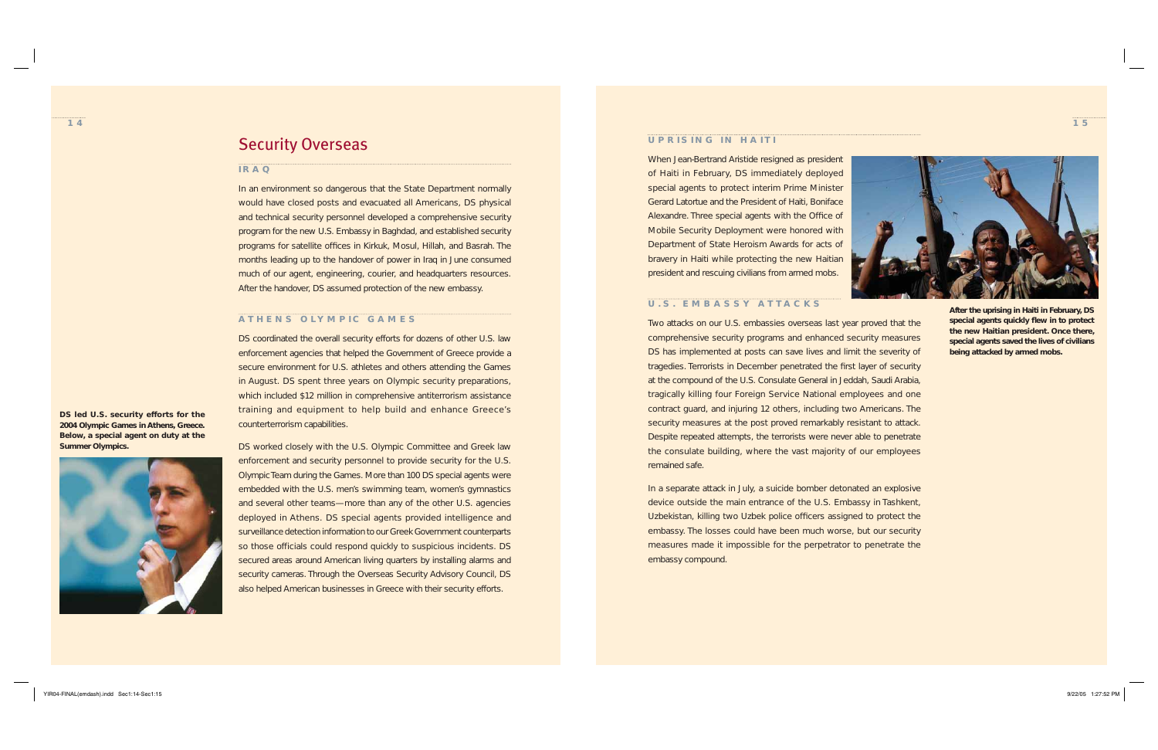

# Security Overseas

#### **IRAQ**

In an environment so dangerous that the State Department normally would have closed posts and evacuated all Americans, DS physical and technical security personnel developed a comprehensive security program for the new U.S. Embassy in Baghdad, and established security programs for satellite offices in Kirkuk, Mosul, Hillah, and Basrah. The months leading up to the handover of power in Iraq in June consumed much of our agent, engineering, courier, and headquarters resources. After the handover, DS assumed protection of the new embassy.

#### **ATHENS OLYMP IC GAMES**

DS coordinated the overall security efforts for dozens of other U.S. law enforcement agencies that helped the Government of Greece provide a secure environment for U.S. athletes and others attending the Games in August. DS spent three years on Olympic security preparations, which included \$12 million in comprehensive antiterrorism assistance training and equipment to help build and enhance Greece's counterterrorism capabilities.

DS worked closely with the U.S. Olympic Committee and Greek law enforcement and security personnel to provide security for the U.S. Olympic Team during the Games. More than 100 DS special agents were embedded with the U.S. men's swimming team, women's gymnastics and several other teams—more than any of the other U.S. agencies deployed in Athens. DS special agents provided intelligence and surveillance detection information to our Greek Government counterparts so those officials could respond quickly to suspicious incidents. DS secured areas around American living quarters by installing alarms and security cameras. Through the Overseas Security Advisory Council, DS also helped American businesses in Greece with their security efforts.

**DS led U.S. security efforts for the 2004 Olympic Games in Athens, Greece. Below, a special agent on duty at the Summer Olympics.**



#### **UPRISING IN HAITI**

When Jean-Bertrand Aristide resigned as president of Haiti in February, DS immediately deployed special agents to protect interim Prime Minister Gerard Latortue and the President of Haiti, Boniface Alexandre. Three special agents with the Office of Mobile Security Deployment were honored with Department of State Heroism Awards for acts of bravery in Haiti while protecting the new Haitian president and rescuing civilians from armed mobs.



#### **U.S. EMBASSY ATTACKS**

Two attacks on our U.S. embassies overseas last year proved that the comprehensive security programs and enhanced security measures DS has implemented at posts can save lives and limit the severity of tragedies. Terrorists in December penetrated the first layer of security at the compound of the U.S. Consulate General in Jeddah, Saudi Arabia, tragically killing four Foreign Service National employees and one contract guard, and injuring 12 others, including two Americans. The security measures at the post proved remarkably resistant to attack. Despite repeated attempts, the terrorists were never able to penetrate the consulate building, where the vast majority of our employees remained safe.

In a separate attack in July, a suicide bomber detonated an explosive device outside the main entrance of the U.S. Embassy in Tashkent, Uzbekistan, killing two Uzbek police officers assigned to protect the embassy. The losses could have been much worse, but our security measures made it impossible for the perpetrator to penetrate the embassy compound.

**After the uprising in Haiti in February, DS**  special agents quickly flew in to protect **the new Haitian president. Once there, special agents saved the lives of civilians being attacked by armed mobs.**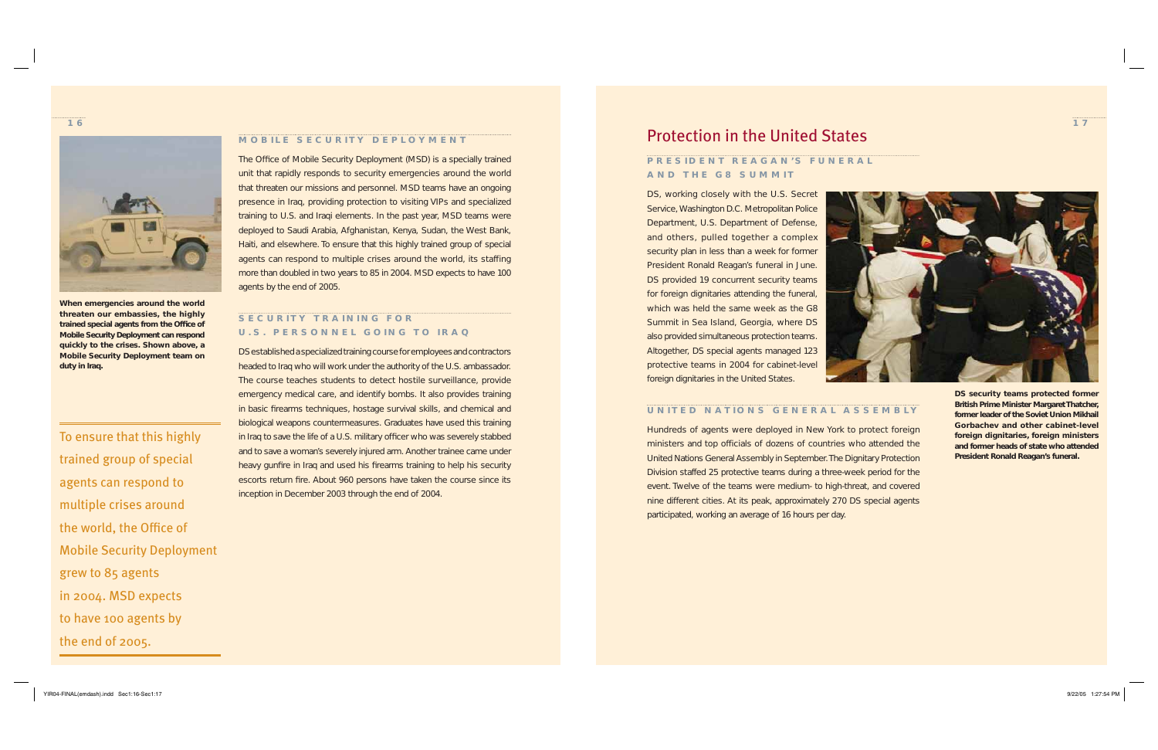#### **MOBILE SECURITY DEPLOYMENT**

The Office of Mobile Security Deployment (MSD) is a specially trained unit that rapidly responds to security emergencies around the world that threaten our missions and personnel. MSD teams have an ongoing presence in Iraq, providing protection to visiting VIPs and specialized training to U.S. and Iraqi elements. In the past year, MSD teams were deployed to Saudi Arabia, Afghanistan, Kenya, Sudan, the West Bank, Haiti, and elsewhere. To ensure that this highly trained group of special agents can respond to multiple crises around the world, its staffing more than doubled in two years to 85 in 2004. MSD expects to have 100 agents by the end of 2005.

### **SECURITY TRAINING FOR U.S. PERSONNEL GOING TO IRAQ**

DS established a specialized training course for employees and contractors headed to Iraq who will work under the authority of the U.S. ambassador. The course teaches students to detect hostile surveillance, provide emergency medical care, and identify bombs. It also provides training in basic firearms techniques, hostage survival skills, and chemical and biological weapons countermeasures. Graduates have used this training in Iraq to save the life of a U.S. military officer who was severely stabbed and to save a woman's severely injured arm. Another trainee came under heavy gunfire in Iraq and used his firearms training to help his security escorts return fire. About 960 persons have taken the course since its inception in December 2003 through the end of 2004.



**When emergencies around the world threaten our embassies, the highly**  trained special agents from the Office of **Mobile Security Deployment can respond quickly to the crises. Shown above, a Mobile Security Deployment team on duty in Iraq.**

To ensure that this highly trained group of special agents can respond to multiple crises around the world, the Office of Mobile Security Deployment grew to 85 agents in 2004. MSD expects to have 100 agents by the end of 2005.

# Protection in the United States

### **PRES IDENT REAGAN 'S FUNERAL AND THE G8 SUMMIT**

DS, working closely with the U.S. Secret Service, Washington D.C. Metropolitan Police Department, U.S. Department of Defense, and others, pulled together a complex security plan in less than a week for former President Ronald Reagan's funeral in June. DS provided 19 concurrent security teams for foreign dignitaries attending the funeral, which was held the same week as the G8 Summit in Sea Island, Georgia, where DS also provided simultaneous protection teams. Altogether, DS special agents managed 123 protective teams in 2004 for cabinet-level foreign dignitaries in the United States.



### **UNITED NATIONS GENERAL ASSEMBLY**

Hundreds of agents were deployed in New York to protect foreign ministers and top officials of dozens of countries who attended the United Nations General Assembly in September. The Dignitary Protection Division staffed 25 protective teams during a three-week period for the event. Twelve of the teams were medium- to high-threat, and covered nine different cities. At its peak, approximately 270 DS special agents participated, working an average of 16 hours per day.

**DS security teams protected former British Prime Minister Margaret Thatcher, former leader of the Soviet Union Mikhail Gorbachev and other cabinet-level foreign dignitaries, foreign ministers and former heads of state who attended President Ronald Reagan's funeral.**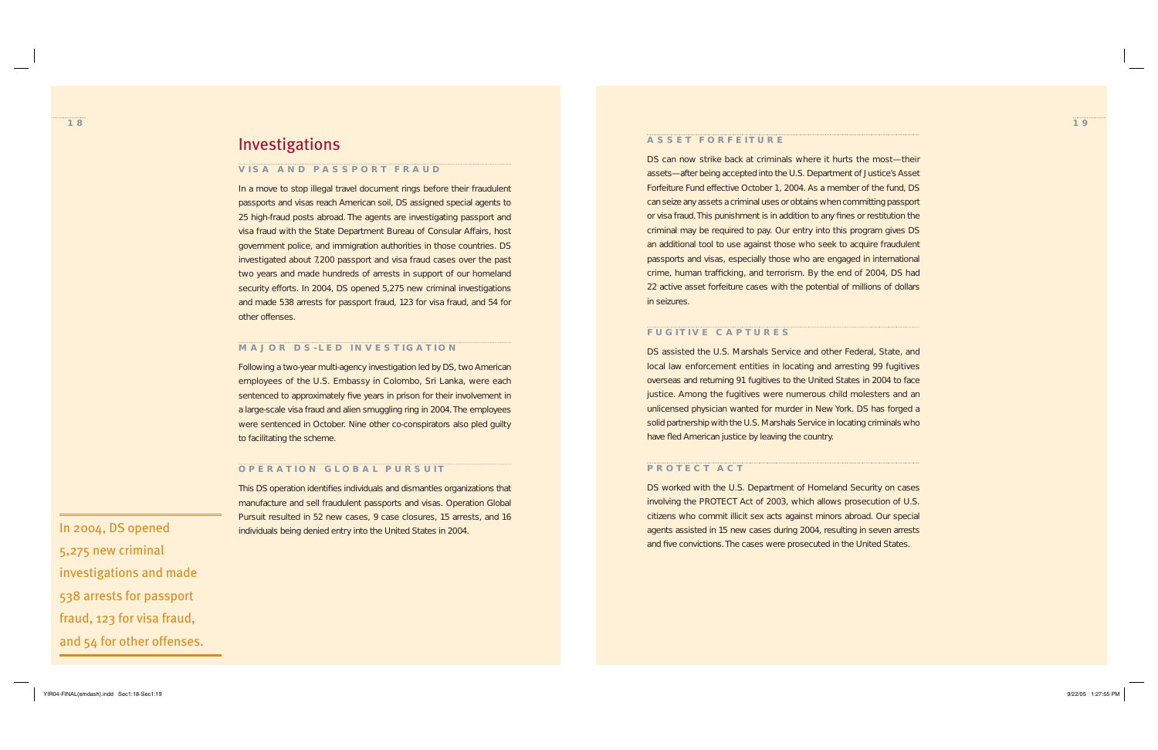**19**

# Investigations

#### **VISA AND PASSPORT FRAUD**

In a move to stop illegal travel document rings before their fraudulent passports and visas reach American soil, DS assigned special agents to 25 high-fraud posts abroad. The agents are investigating passport and visa fraud with the State Department Bureau of Consular Affairs, host government police, and immigration authorities in those countries. DS investigated about 7,200 passport and visa fraud cases over the past two years and made hundreds of arrests in support of our homeland security efforts. In 2004, DS opened 5,275 new criminal investigations and made 538 arrests for passport fraud, 123 for visa fraud, and 54 for other offenses.

#### **MAJOR DS-LED INVESTIGATION**

Following a two-year multi-agency investigation led by DS, two American employees of the U.S. Embassy in Colombo, Sri Lanka, were each sentenced to approximately five years in prison for their involvement in a large-scale visa fraud and alien smuggling ring in 2004. The employees were sentenced in October. Nine other co-conspirators also pled guilty to facilitating the scheme.

#### **OPERATION GLOBAL PURSUIT**

This DS operation identifies individuals and dismantles organizations that manufacture and sell fraudulent passports and visas. Operation Global Pursuit resulted in 52 new cases, 9 case closures, 15 arrests, and 16 In 2004, DS opened individuals being denied entry into the United States in 2004.

DS assisted the U.S. Marshals Service and other Federal, State, and local law enforcement entities in locating and arresting 99 fugitives overseas and returning 91 fugitives to the United States in 2004 to face justice. Among the fugitives were numerous child molesters and an unlicensed physician wanted for murder in New York. DS has forged a solid partnership with the U.S. Marshals Service in locating criminals who have fled American justice by leaving the country.

DS worked with the U.S. Department of Homeland Security on cases involving the PROTECT Act of 2003, which allows prosecution of U.S. citizens who commit illicit sex acts against minors abroad. Our special agents assisted in 15 new cases during 2004, resulting in seven arrests and five convictions. The cases were prosecuted in the United States.

5,275 new criminal investigations and made 538 arrests for passport fraud, 123 for visa fraud, and 54 for other offenses.

#### **ASSET FORFEITURE**

DS can now strike back at criminals where it hurts the most—their assets—after being accepted into the U.S. Department of Justice's Asset Forfeiture Fund effective October 1, 2004. As a member of the fund, DS can seize any assets a criminal uses or obtains when committing passport or visa fraud. This punishment is in addition to any fines or restitution the criminal may be required to pay. Our entry into this program gives DS an additional tool to use against those who seek to acquire fraudulent passports and visas, especially those who are engaged in international crime, human trafficking, and terrorism. By the end of 2004, DS had 22 active asset forfeiture cases with the potential of millions of dollars in seizures.

#### **FUGITIVE CAPTURES**

#### **PROTECT ACT**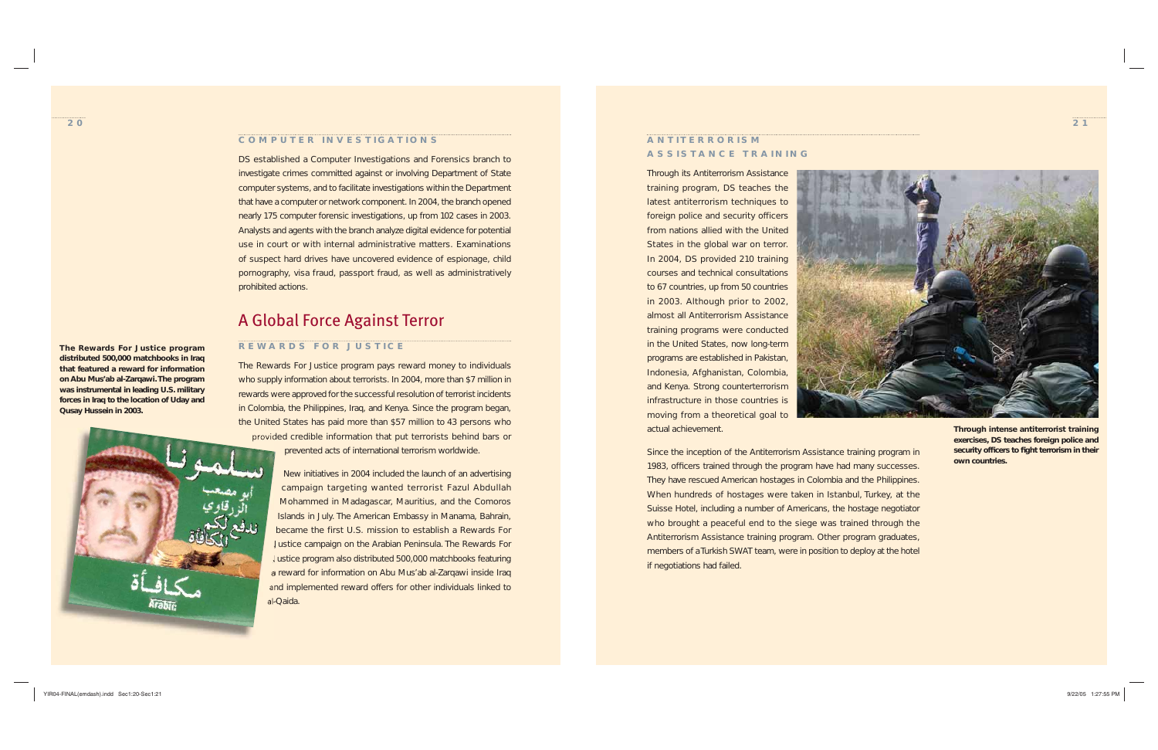#### **COMPUTER INVESTIGATIONS**

DS established a Computer Investigations and Forensics branch to investigate crimes committed against or involving Department of State computer systems, and to facilitate investigations within the Department that have a computer or network component. In 2004, the branch opened nearly 175 computer forensic investigations, up from 102 cases in 2003. Analysts and agents with the branch analyze digital evidence for potential use in court or with internal administrative matters. Examinations of suspect hard drives have uncovered evidence of espionage, child pornography, visa fraud, passport fraud, as well as administratively prohibited actions.

# A Global Force Against Terror

### **REWARDS FOR JUSTICE**

The Rewards For Justice program pays reward money to individuals who supply information about terrorists. In 2004, more than \$7 million in rewards were approved for the successful resolution of terrorist incidents in Colombia, the Philippines, Iraq, and Kenya. Since the program began, the United States has paid more than \$57 million to 43 persons who provided credible information that put terrorists behind bars or prevented acts of international terrorism worldwide.

> New initiatives in 2004 included the launch of an advertising campaign targeting wanted terrorist Fazul Abdullah Mohammed in Madagascar, Mauritius, and the Comoros Islands in July. The American Embassy in Manama, Bahrain, became the first U.S. mission to establish a Rewards For Justice campaign on the Arabian Peninsula. The Rewards For Justice program also distributed 500,000 matchbooks featuring a reward for information on Abu Mus'ab al-Zarqawi inside Iraq and implemented reward offers for other individuals linked to al-Qaida.

**The Rewards For Justice program distributed 500,000 matchbooks in Iraq that featured a reward for information on Abu Mus'ab al-Zarqawi. The program was instrumental in leading U.S. military forces in Iraq to the location of Uday and Qusay Hussein in 2003.** 





### **ANT ITERROR ISM ASSISTANCE TRAINING**

Through its Antiterrorism Assistance training program, DS teaches the latest antiterrorism techniques to foreign police and security officers from nations allied with the United States in the global war on terror. In 2004, DS provided 210 training courses and technical consultations to 67 countries, up from 50 countries in 2003. Although prior to 2002, almost all Antiterrorism Assistance training programs were conducted in the United States, now long-term programs are established in Pakistan, Indonesia, Afghanistan, Colombia, and Kenya. Strong counterterrorism infrastructure in those countries is moving from a theoretical goal to actual achievement.

Since the inception of the Antiterrorism Assistance training program in 1983, officers trained through the program have had many successes. They have rescued American hostages in Colombia and the Philippines. When hundreds of hostages were taken in Istanbul, Turkey, at the Suisse Hotel, including a number of Americans, the hostage negotiator who brought a peaceful end to the siege was trained through the Antiterrorism Assistance training program. Other program graduates, members of a Turkish SWAT team, were in position to deploy at the hotel if negotiations had failed.

**Through intense antiterrorist training exercises, DS teaches foreign police and**  security officers to fight terrorism in their **own countries.**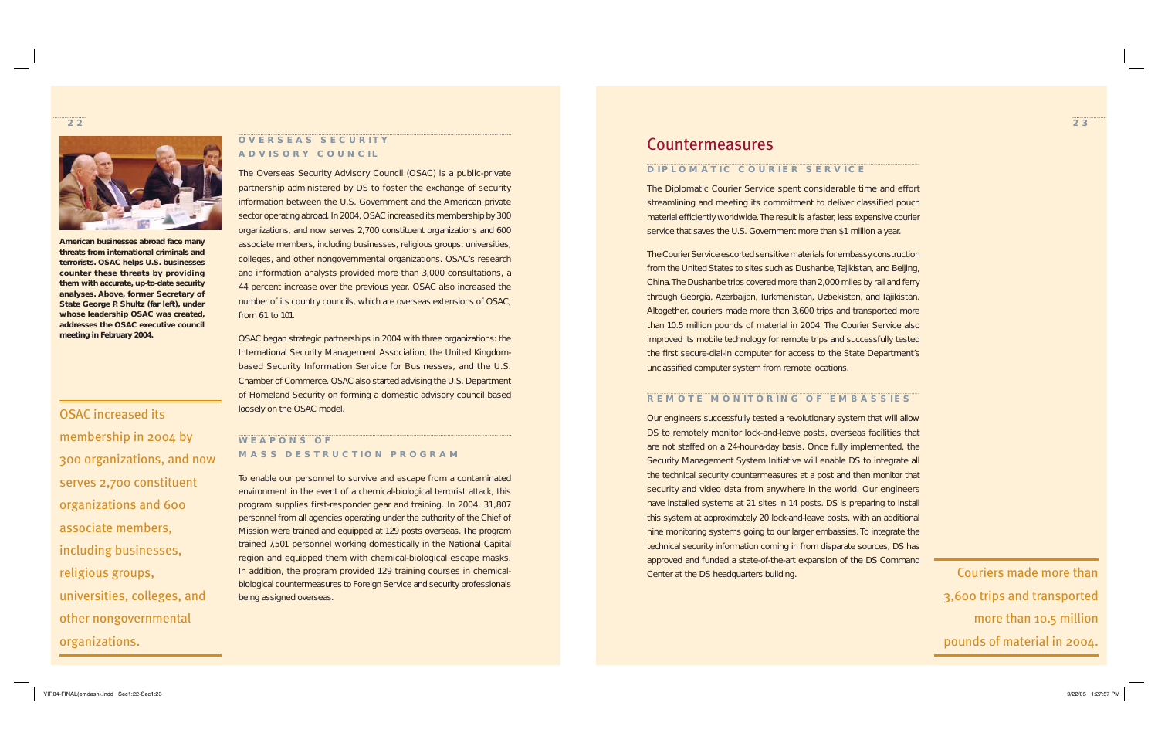



### **OVERSEAS SECURITY ADVISORY COUNCIL**

The Overseas Security Advisory Council (OSAC) is a public-private partnership administered by DS to foster the exchange of security information between the U.S. Government and the American private sector operating abroad. In 2004, OSAC increased its membership by 300 organizations, and now serves 2,700 constituent organizations and 600 associate members, including businesses, religious groups, universities, colleges, and other nongovernmental organizations. OSAC's research and information analysts provided more than 3,000 consultations, a 44 percent increase over the previous year. OSAC also increased the number of its country councils, which are overseas extensions of OSAC, from 61 to 101.

OSAC began strategic partnerships in 2004 with three organizations: the International Security Management Association, the United Kingdombased Security Information Service for Businesses, and the U.S. Chamber of Commerce. OSAC also started advising the U.S. Department of Homeland Security on forming a domestic advisory council based loosely on the OSAC model.

### **WEAPONS OF MASS DESTRUCTION PROGRAM**

The Courier Service escorted sensitive materials for embassy construction from the United States to sites such as Dushanbe, Tajikistan, and Beijing, China. The Dushanbe trips covered more than 2,000 miles by rail and ferry through Georgia, Azerbaijan, Turkmenistan, Uzbekistan, and Tajikistan. Altogether, couriers made more than 3,600 trips and transported more than 10.5 million pounds of material in 2004. The Courier Service also improved its mobile technology for remote trips and successfully tested the first secure-dial-in computer for access to the State Department's unclassified computer system from remote locations.

To enable our personnel to survive and escape from a contaminated environment in the event of a chemical-biological terrorist attack, this program supplies first-responder gear and training. In 2004, 31,807 personnel from all agencies operating under the authority of the Chief of Mission were trained and equipped at 129 posts overseas. The program trained 7,501 personnel working domestically in the National Capital region and equipped them with chemical-biological escape masks. In addition, the program provided 129 training courses in chemicalbiological countermeasures to Foreign Service and security professionals being assigned overseas.

Our engineers successfully tested a revolutionary system that will allow DS to remotely monitor lock-and-leave posts, overseas facilities that are not staffed on a 24-hour-a-day basis. Once fully implemented, the Security Management System Initiative will enable DS to integrate all the technical security countermeasures at a post and then monitor that security and video data from anywhere in the world. Our engineers have installed systems at 21 sites in 14 posts. DS is preparing to install this system at approximately 20 lock-and-leave posts, with an additional nine monitoring systems going to our larger embassies. To integrate the technical security information coming in from disparate sources, DS has approved and funded a state-of-the-art expansion of the DS Command Center at the DS headquarters building. Couriers made more than

OSAC increased its membership in 2004 by 300 organizations, and now serves 2,700 constituent organizations and 600 associate members, including businesses, religious groups, universities, colleges, and other nongovernmental organizations.

**American businesses abroad face many threats from international criminals and terrorists. OSAC helps U.S. businesses counter these threats by providing them with accurate, up-to-date security analyses. Above, former Secretary of State George P. Shultz (far left), under whose leadership OSAC was created, addresses the OSAC executive council meeting in February 2004.** 

# Countermeasures

### **DIPLOMATIC COURIER SERVICE**

The Diplomatic Courier Service spent considerable time and effort streamlining and meeting its commitment to deliver classified pouch material efficiently worldwide. The result is a faster, less expensive courier service that saves the U.S. Government more than \$1 million a year.

### **REMOTE MONITORING OF EMBASSIES**

3,600 trips and transported more than 10.5 million pounds of material in 2004.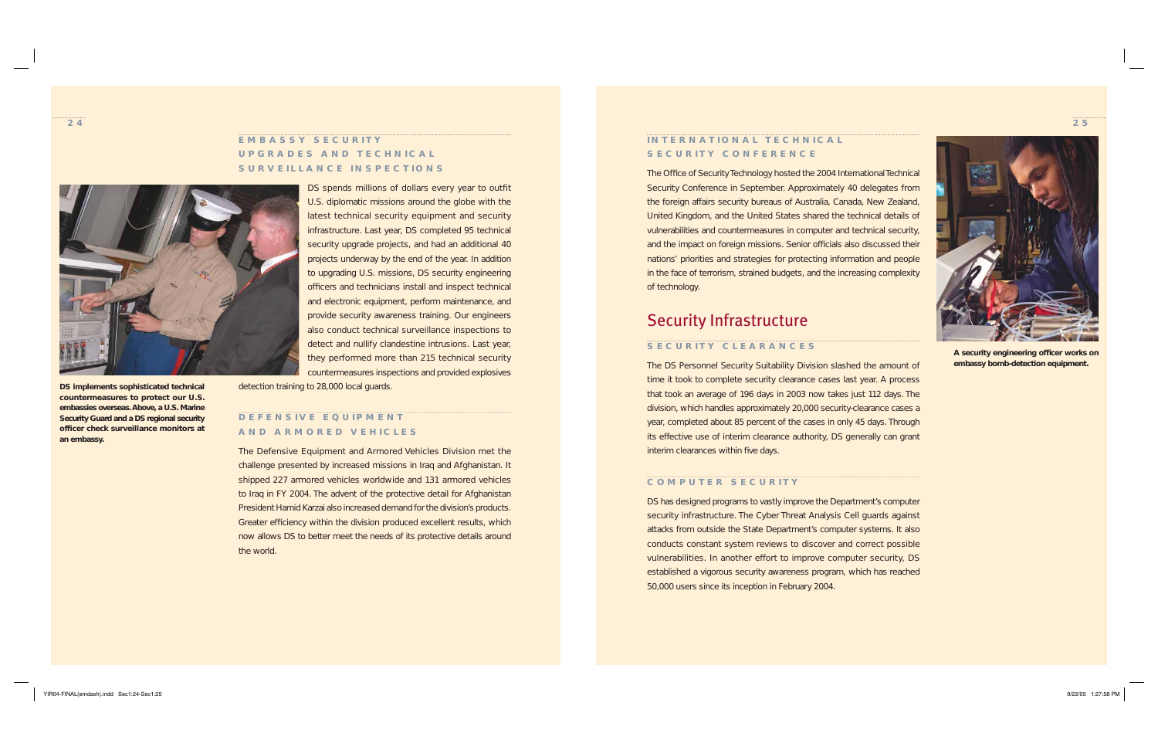

### **EMBASSY SECURITY UPGRADES AND TECHNICAL SURVEILLANCE INSPECTIONS**

DS spends millions of dollars every year to outfit U.S. diplomatic missions around the globe with the latest technical security equipment and security infrastructure. Last year, DS completed 95 technical security upgrade projects, and had an additional 40 projects underway by the end of the year. In addition to upgrading U.S. missions, DS security engineering officers and technicians install and inspect technical and electronic equipment, perform maintenance, and provide security awareness training. Our engineers also conduct technical surveillance inspections to detect and nullify clandestine intrusions. Last year, they performed more than 215 technical security countermeasures inspections and provided explosives

### **INTERNATIONAL TECHNICAL SECURITY CONFERENCE**

detection training to 28,000 local guards.

#### **DEFENS IVE EQU IPMENT AND ARMORED VEH ICLES**

The Office of Security Technology hosted the 2004 International Technical Security Conference in September. Approximately 40 delegates from the foreign affairs security bureaus of Australia, Canada, New Zealand, United Kingdom, and the United States shared the technical details of vulnerabilities and countermeasures in computer and technical security, and the impact on foreign missions. Senior officials also discussed their nations' priorities and strategies for protecting information and people in the face of terrorism, strained budgets, and the increasing complexity of technology.

The Defensive Equipment and Armored Vehicles Division met the challenge presented by increased missions in Iraq and Afghanistan. It shipped 227 armored vehicles worldwide and 131 armored vehicles to Iraq in FY 2004. The advent of the protective detail for Afghanistan President Hamid Karzai also increased demand for the division's products. Greater efficiency within the division produced excellent results, which now allows DS to better meet the needs of its protective details around the world.

The DS Personnel Security Suitability Division slashed the amount of time it took to complete security clearance cases last year. A process that took an average of 196 days in 2003 now takes just 112 days. The division, which handles approximately 20,000 security-clearance cases a year, completed about 85 percent of the cases in only 45 days. Through its effective use of interim clearance authority, DS generally can grant interim clearances within five days.



**DS implements sophisticated technical countermeasures to protect our U.S. embassies overseas. Above, a U.S. Marine Security Guard and a DS regional security officer check surveillance monitors at an embassy.**



A security engineering officer works on **embassy bomb-detection equipment.** 

# Security Infrastructure

#### **SECURITY CLEARANCES**

#### **COMPUTER SECURITY**

DS has designed programs to vastly improve the Department's computer security infrastructure. The Cyber Threat Analysis Cell guards against attacks from outside the State Department's computer systems. It also conducts constant system reviews to discover and correct possible vulnerabilities. In another effort to improve computer security, DS established a vigorous security awareness program, which has reached 50,000 users since its inception in February 2004.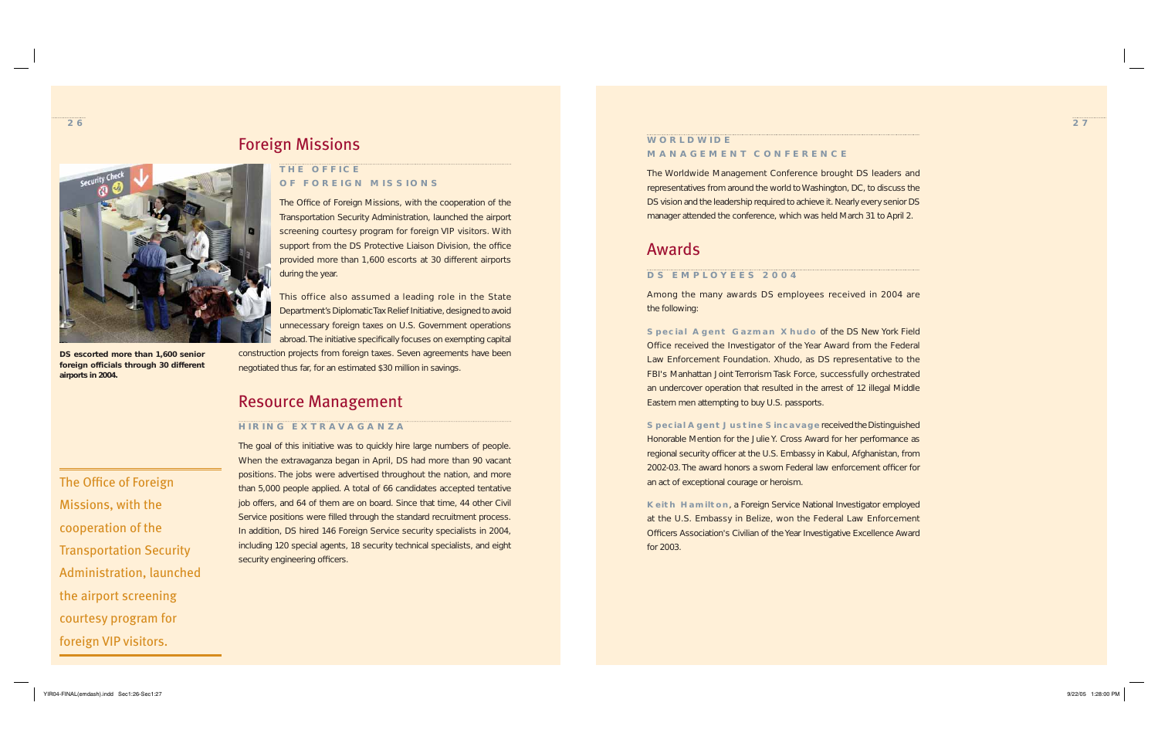**26**



# Foreign Missions

### **THE OFF ICE OF FOREIGN MISSIONS**

The Office of Foreign Missions, with the cooperation of the Transportation Security Administration, launched the airport screening courtesy program for foreign VIP visitors. With support from the DS Protective Liaison Division, the office provided more than 1,600 escorts at 30 different airports during the year.

The goal of this initiative was to quickly hire large numbers of people. When the extravaganza began in April, DS had more than 90 vacant positions. The jobs were advertised throughout the nation, and more than 5,000 people applied. A total of 66 candidates accepted tentative job offers, and 64 of them are on board. Since that time, 44 other Civil Service positions were filled through the standard recruitment process. In addition, DS hired 146 Foreign Service security specialists in 2004, including 120 special agents, 18 security technical specialists, and eight security engineering officers.

This office also assumed a leading role in the State Department's Diplomatic Tax Relief Initiative, designed to avoid unnecessary foreign taxes on U.S. Government operations abroad. The initiative specifically focuses on exempting capital construction projects from foreign taxes. Seven agreements have been negotiated thus far, for an estimated \$30 million in savings.

# Resource Management

### **H IR ING EXTRAVAGANZA**

Missions, with the

cooperation of the

Transportation Security

Administration, launched

the airport screening

courtesy program for

foreign VIP visitors.

### **WORLDW IDE MANAGEMENT CONFERENCE**

The Worldwide Management Conference brought DS leaders and representatives from around the world to Washington, DC, to discuss the DS vision and the leadership required to achieve it. Nearly every senior DS manager attended the conference, which was held March 31 to April 2.

# Awards

### **DS EMPLOYEES 2004**

Among the many awards DS employees received in 2004 are the following:

**Special Agent Gazman Xhudo** of the DS New York Field Office received the Investigator of the Year Award from the Federal Law Enforcement Foundation. Xhudo, as DS representative to the FBI's Manhattan Joint Terrorism Task Force, successfully orchestrated an undercover operation that resulted in the arrest of 12 illegal Middle Eastern men attempting to buy U.S. passports.

**Special Agent Justine Sincavage** received the Distinguished Honorable Mention for the Julie Y. Cross Award for her performance as regional security officer at the U.S. Embassy in Kabul, Afghanistan, from 2002-03. The award honors a sworn Federal law enforcement officer for an act of exceptional courage or heroism.

**Keith Hamilton**, a Foreign Service National Investigator employed at the U.S. Embassy in Belize, won the Federal Law Enforcement Officers Association's Civilian of the Year Investigative Excellence Award for 2003.



**DS escorted more than 1,600 senior foreign officials through 30 different airports in 2004.**

The Office of Foreign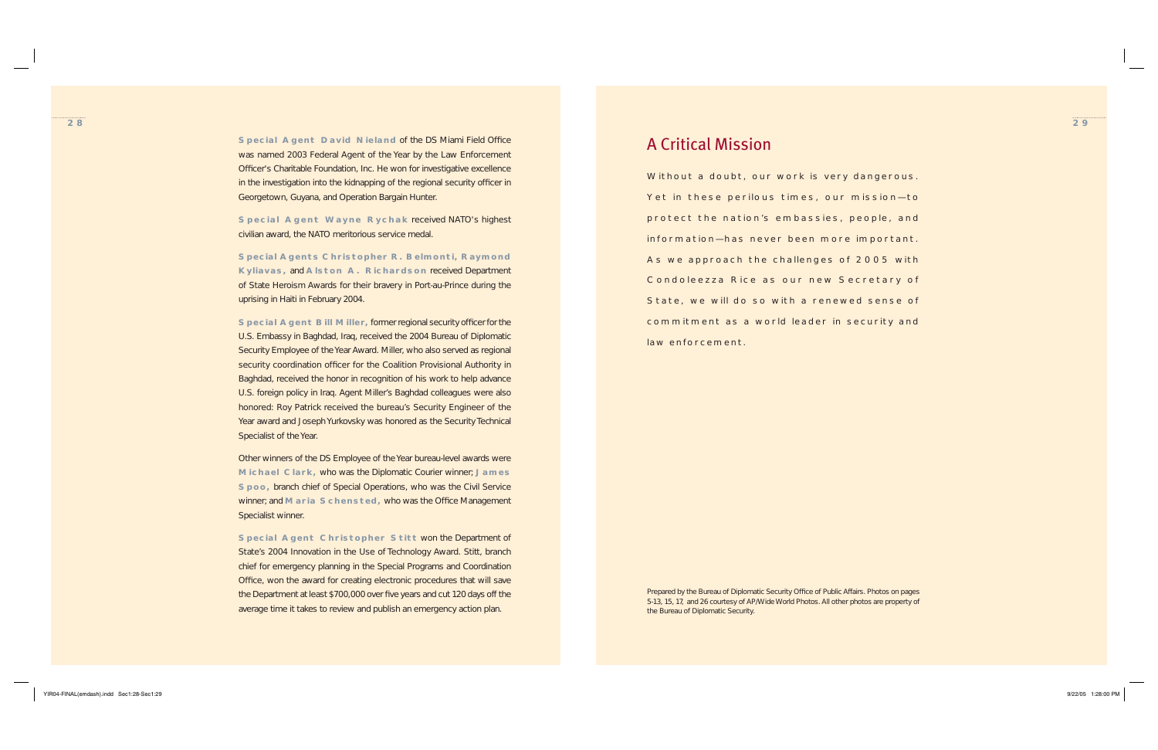

- 
- 
- 
- 
- 
- 
- 
- 

**Special Agent David Nieland of the DS Miami Field Office** was named 2003 Federal Agent of the Year by the Law Enforcement Officer's Charitable Foundation, Inc. He won for investigative excellence in the investigation into the kidnapping of the regional security officer in Georgetown, Guyana, and Operation Bargain Hunter.

**Special Agent Wayne Rychak** received NATO's highest civilian award, the NATO meritorious service medal.

**Special Agents Christopher R. Belmonti, Raymond Kyliavas,** and **Alston A. Richardson** received Department of State Heroism Awards for their bravery in Port-au-Prince during the uprising in Haiti in February 2004.

**Special Agent Bill Miller, former regional security officer for the** U.S. Embassy in Baghdad, Iraq, received the 2004 Bureau of Diplomatic Security Employee of the Year Award. Miller, who also served as regional security coordination officer for the Coalition Provisional Authority in Baghdad, received the honor in recognition of his work to help advance U.S. foreign policy in Iraq. Agent Miller's Baghdad colleagues were also honored: Roy Patrick received the bureau's Security Engineer of the Year award and Joseph Yurkovsky was honored as the Security Technical Specialist of the Year.

> *Prepared by the Bureau of Diplomatic Security Office of Public Affairs. Photos on pages 5-13, 15, 17, and 26 courtesy of AP/Wide World Photos. All other photos are property of the Bureau of Diplomatic Security.*

Other winners of the DS Employee of the Year bureau-level awards were **Michael Clark,** who was the Diplomatic Courier winner; **James Spoo,** branch chief of Special Operations, who was the Civil Service winner; and **Maria Schensted**, who was the Office Management Specialist winner.

**Special Agent Christopher Stitt** won the Department of State's 2004 Innovation in the Use of Technology Award. Stitt, branch chief for emergency planning in the Special Programs and Coordination Office, won the award for creating electronic procedures that will save the Department at least \$700,000 over five years and cut 120 days off the average time it takes to review and publish an emergency action plan.

# A Critical Mission

Without a doubt, our work is very dangerous. Yet in these perilous times, our mission—to protect the nation's embassies, people, and information—has never been more important. As we approach the challenges of 2005 with Condoleezza Rice as our new Secretary of State, we will do so with a renewed sense of commitment as a world leader in security and law enforcement.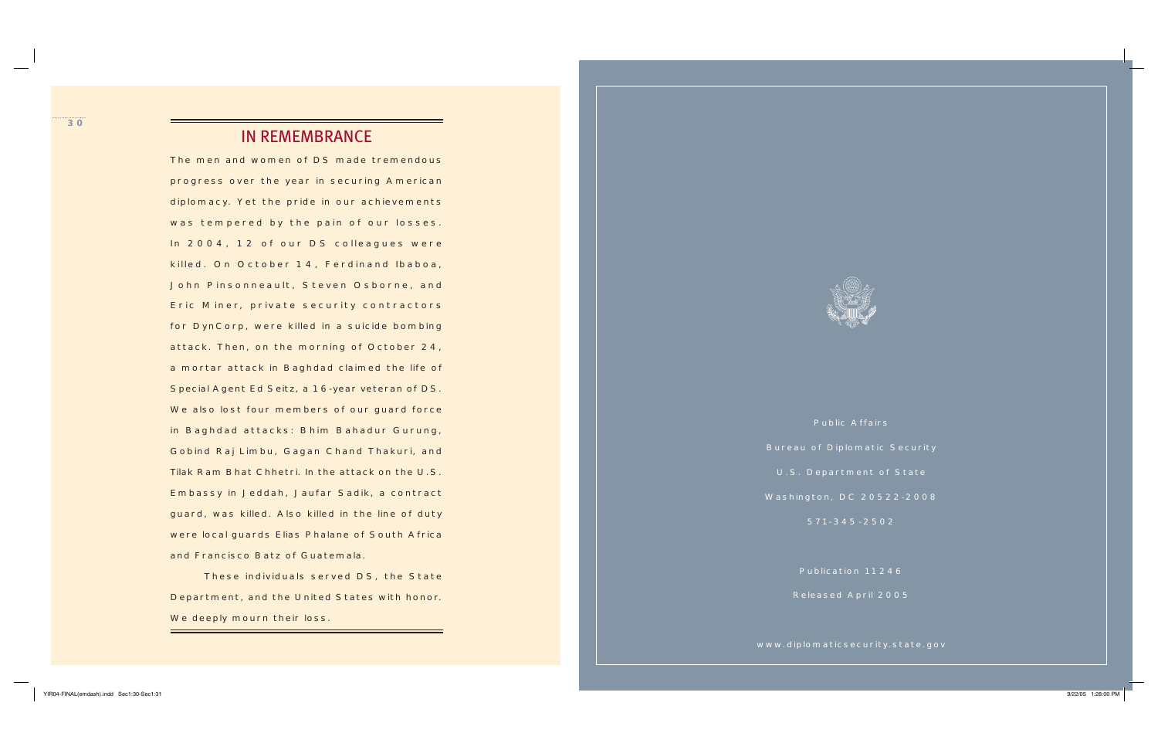Public Affairs

Bureau of Diplomatic Security

U.S. Department of State

Washington, DC 20522-2008

571-345 -2502

Publication 11246

Released April 2005

www.diplomaticsecurity.state.gov

The men and women of DS made tremendous progress over the year in securing American diplomacy. Yet the pride in our achievements was tempered by the pain of our losses. In 2004, 12 of our DS colleagues were killed. On October 14, Ferdinand Ibaboa, John Pinsonneault, Steven Osborne, and Eric Miner, private security contractors for DynCorp, were killed in a suicide bombing attack. Then, on the morning of October 24, a mortar attack in Baghdad claimed the life of Special Agent Ed Seitz, a 16-year veteran of DS. We also lost four members of our guard force in Baghdad attacks: Bhim Bahadur Gurung, Gobind Raj Limbu, Gagan Chand Thakuri, and Tilak Ram Bhat Chhetri. In the attack on the U.S. Embassy in Jeddah, Jaufar Sadik, a contract guard, was killed. Also killed in the line of duty were local guards Elias Phalane of South Africa and Francisco Batz of Guatemala.

 These individuals served DS, the State Department, and the United States with honor. We deeply mourn their loss.